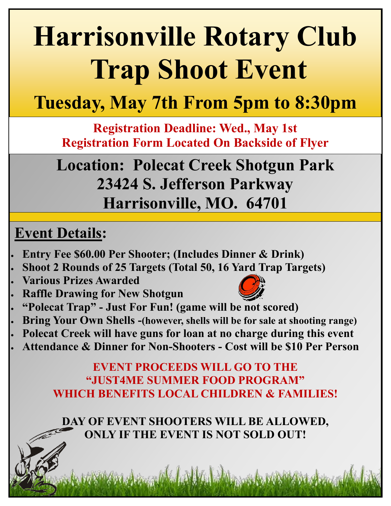# **Harrisonville Rotary Club Trap Shoot Event**

### **Tuesday, May 7th From 5pm to 8:30pm**

**Registration Deadline: Wed., May 1st Registration Form Located On Backside of Flyer**

**Location: Polecat Creek Shotgun Park 23424 S. Jefferson Parkway Harrisonville, MO. 64701**

#### **Event Details:**

- **Entry Fee \$60.00 Per Shooter; (Includes Dinner & Drink)**
- **Shoot 2 Rounds of 25 Targets (Total 50, 16 Yard Trap Targets)**
- **Various Prizes Awarded**
- **Raffle Drawing for New Shotgun**



- **"Polecat Trap" - Just For Fun! (game will be not scored)**
- **Bring Your Own Shells -(however, shells will be for sale at shooting range)**
- **Polecat Creek will have guns for loan at no charge during this event**
- **Attendance & Dinner for Non-Shooters - Cost will be \$10 Per Person**

**EVENT PROCEEDS WILL GO TO THE "JUST4ME SUMMER FOOD PROGRAM" WHICH BENEFITS LOCAL CHILDREN & FAMILIES!** 

**DAY OF EVENT SHOOTERS WILL BE ALLOWED, ONLY IF THE EVENT IS NOT SOLD OUT!**